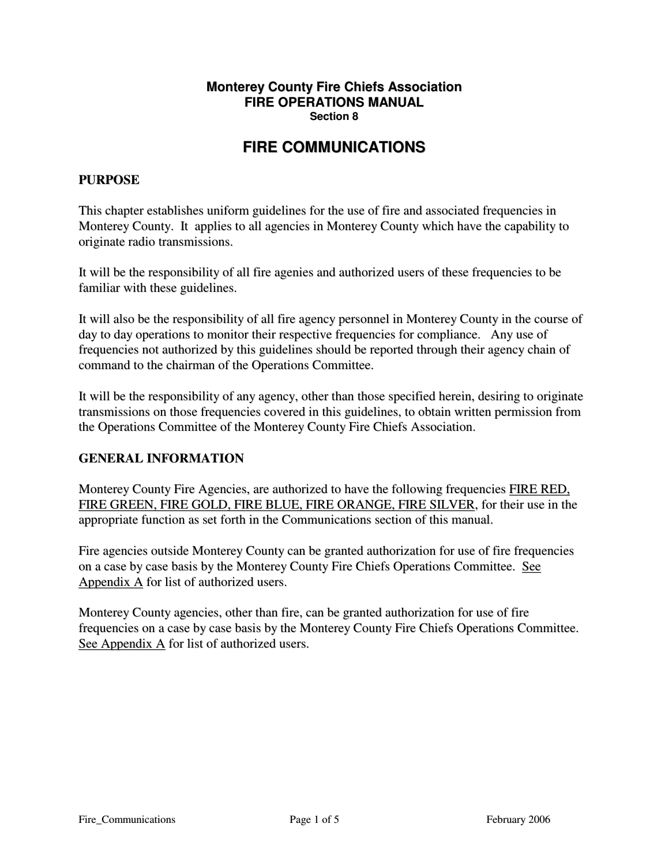#### **Monterey County Fire Chiefs Association FIRE OPERATIONS MANUAL Section 8**

# **FIRE COMMUNICATIONS**

#### **PURPOSE**

This chapter establishes uniform guidelines for the use of fire and associated frequencies in Monterey County. It applies to all agencies in Monterey County which have the capability to originate radio transmissions.

It will be the responsibility of all fire agenies and authorized users of these frequencies to be familiar with these guidelines.

It will also be the responsibility of all fire agency personnel in Monterey County in the course of day to day operations to monitor their respective frequencies for compliance. Any use of frequencies not authorized by this guidelines should be reported through their agency chain of command to the chairman of the Operations Committee.

It will be the responsibility of any agency, other than those specified herein, desiring to originate transmissions on those frequencies covered in this guidelines, to obtain written permission from the Operations Committee of the Monterey County Fire Chiefs Association.

#### **GENERAL INFORMATION**

Monterey County Fire Agencies, are authorized to have the following frequencies FIRE RED, FIRE GREEN, FIRE GOLD, FIRE BLUE, FIRE ORANGE, FIRE SILVER, for their use in the appropriate function as set forth in the Communications section of this manual.

Fire agencies outside Monterey County can be granted authorization for use of fire frequencies on a case by case basis by the Monterey County Fire Chiefs Operations Committee. See Appendix A for list of authorized users.

Monterey County agencies, other than fire, can be granted authorization for use of fire frequencies on a case by case basis by the Monterey County Fire Chiefs Operations Committee. See Appendix A for list of authorized users.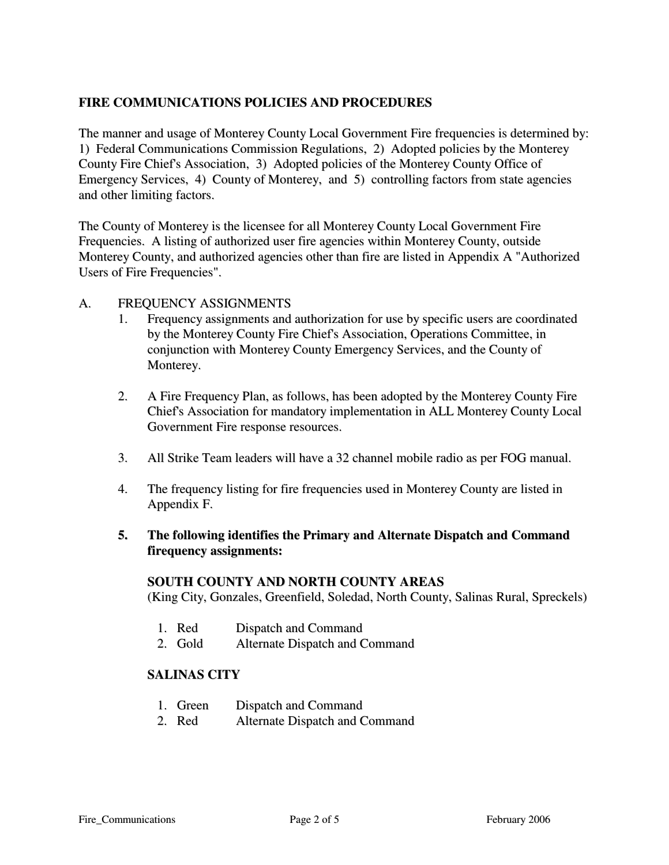# **FIRE COMMUNICATIONS POLICIES AND PROCEDURES**

The manner and usage of Monterey County Local Government Fire frequencies is determined by: 1) Federal Communications Commission Regulations, 2) Adopted policies by the Monterey County Fire Chief's Association, 3) Adopted policies of the Monterey County Office of Emergency Services, 4) County of Monterey, and 5) controlling factors from state agencies and other limiting factors.

The County of Monterey is the licensee for all Monterey County Local Government Fire Frequencies. A listing of authorized user fire agencies within Monterey County, outside Monterey County, and authorized agencies other than fire are listed in Appendix A "Authorized Users of Fire Frequencies".

#### A. FREQUENCY ASSIGNMENTS

- 1. Frequency assignments and authorization for use by specific users are coordinated by the Monterey County Fire Chief's Association, Operations Committee, in conjunction with Monterey County Emergency Services, and the County of Monterey.
- 2. A Fire Frequency Plan, as follows, has been adopted by the Monterey County Fire Chief's Association for mandatory implementation in ALL Monterey County Local Government Fire response resources.
- 3. All Strike Team leaders will have a 32 channel mobile radio as per FOG manual.
- 4. The frequency listing for fire frequencies used in Monterey County are listed in Appendix F.

## **5. The following identifies the Primary and Alternate Dispatch and Command firequency assignments:**

#### **SOUTH COUNTY AND NORTH COUNTY AREAS**

(King City, Gonzales, Greenfield, Soledad, North County, Salinas Rural, Spreckels)

- 1. Red Dispatch and Command
- 2. Gold Alternate Dispatch and Command

#### **SALINAS CITY**

- 1. Green Dispatch and Command
- 2. Red Alternate Dispatch and Command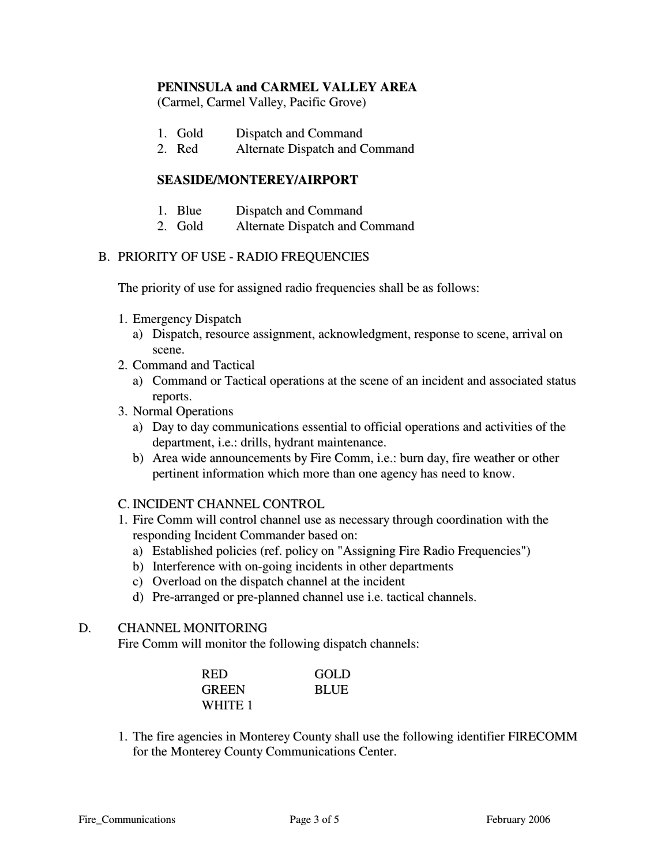### **PENINSULA and CARMEL VALLEY AREA**

(Carmel, Carmel Valley, Pacific Grove)

- 1. Gold Dispatch and Command
- 2. Red Alternate Dispatch and Command

### **SEASIDE/MONTEREY/AIRPORT**

- 1. Blue Dispatch and Command
- 2. Gold Alternate Dispatch and Command

#### B. PRIORITY OF USE - RADIO FREQUENCIES

The priority of use for assigned radio frequencies shall be as follows:

- 1. Emergency Dispatch
	- a) Dispatch, resource assignment, acknowledgment, response to scene, arrival on scene.
- 2. Command and Tactical
	- a) Command or Tactical operations at the scene of an incident and associated status reports.
- 3. Normal Operations
	- a) Day to day communications essential to official operations and activities of the department, i.e.: drills, hydrant maintenance.
	- b) Area wide announcements by Fire Comm, i.e.: burn day, fire weather or other pertinent information which more than one agency has need to know.
- C. INCIDENT CHANNEL CONTROL
- 1. Fire Comm will control channel use as necessary through coordination with the responding Incident Commander based on:
	- a) Established policies (ref. policy on "Assigning Fire Radio Frequencies")
	- b) Interference with on-going incidents in other departments
	- c) Overload on the dispatch channel at the incident
	- d) Pre-arranged or pre-planned channel use i.e. tactical channels.

# D. CHANNEL MONITORING

Fire Comm will monitor the following dispatch channels:

| <b>RED</b>   | GOLD        |
|--------------|-------------|
| <b>GREEN</b> | <b>BLUE</b> |
| WHITE 1      |             |

1. The fire agencies in Monterey County shall use the following identifier FIRECOMM for the Monterey County Communications Center.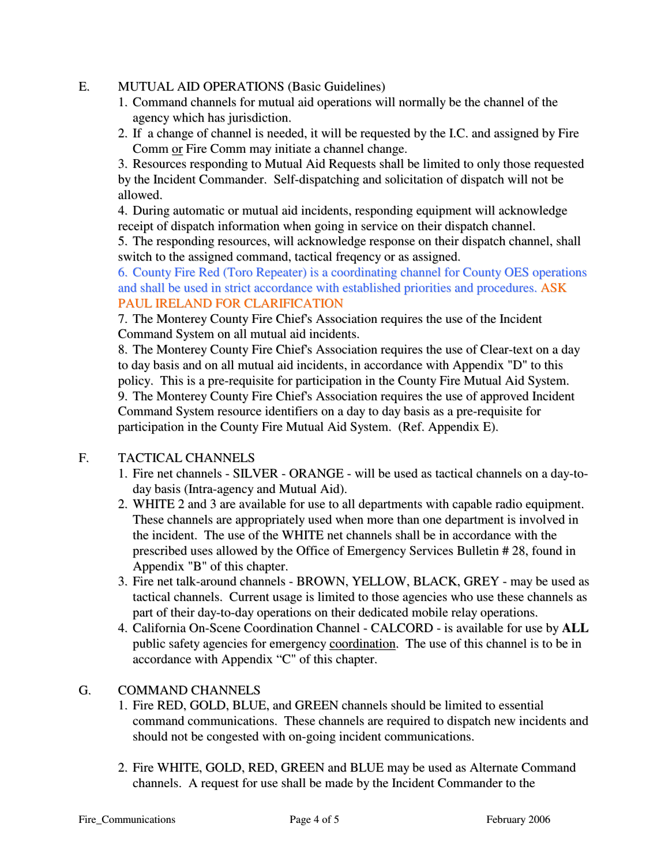### E. MUTUAL AID OPERATIONS (Basic Guidelines)

- 1. Command channels for mutual aid operations will normally be the channel of the agency which has jurisdiction.
- 2. If a change of channel is needed, it will be requested by the I.C. and assigned by Fire Comm or Fire Comm may initiate a channel change.

3. Resources responding to Mutual Aid Requests shall be limited to only those requested by the Incident Commander. Self-dispatching and solicitation of dispatch will not be allowed.

4. During automatic or mutual aid incidents, responding equipment will acknowledge receipt of dispatch information when going in service on their dispatch channel.

5. The responding resources, will acknowledge response on their dispatch channel, shall switch to the assigned command, tactical freqency or as assigned.

6. County Fire Red (Toro Repeater) is a coordinating channel for County OES operations and shall be used in strict accordance with established priorities and procedures. ASK PAUL IRELAND FOR CLARIFICATION

7. The Monterey County Fire Chief's Association requires the use of the Incident Command System on all mutual aid incidents.

8. The Monterey County Fire Chief's Association requires the use of Clear-text on a day to day basis and on all mutual aid incidents, in accordance with Appendix "D" to this policy. This is a pre-requisite for participation in the County Fire Mutual Aid System. 9. The Monterey County Fire Chief's Association requires the use of approved Incident Command System resource identifiers on a day to day basis as a pre-requisite for participation in the County Fire Mutual Aid System. (Ref. Appendix E).

# F. TACTICAL CHANNELS

- 1. Fire net channels SILVER ORANGE will be used as tactical channels on a day-today basis (Intra-agency and Mutual Aid).
- 2. WHITE 2 and 3 are available for use to all departments with capable radio equipment. These channels are appropriately used when more than one department is involved in the incident. The use of the WHITE net channels shall be in accordance with the prescribed uses allowed by the Office of Emergency Services Bulletin # 28, found in Appendix "B" of this chapter.
- 3. Fire net talk-around channels BROWN, YELLOW, BLACK, GREY may be used as tactical channels. Current usage is limited to those agencies who use these channels as part of their day-to-day operations on their dedicated mobile relay operations.
- 4. California On-Scene Coordination Channel CALCORD is available for use by **ALL** public safety agencies for emergency coordination. The use of this channel is to be in accordance with Appendix "C" of this chapter.

# G. COMMAND CHANNELS

- 1. Fire RED, GOLD, BLUE, and GREEN channels should be limited to essential command communications. These channels are required to dispatch new incidents and should not be congested with on-going incident communications.
- 2. Fire WHITE, GOLD, RED, GREEN and BLUE may be used as Alternate Command channels. A request for use shall be made by the Incident Commander to the